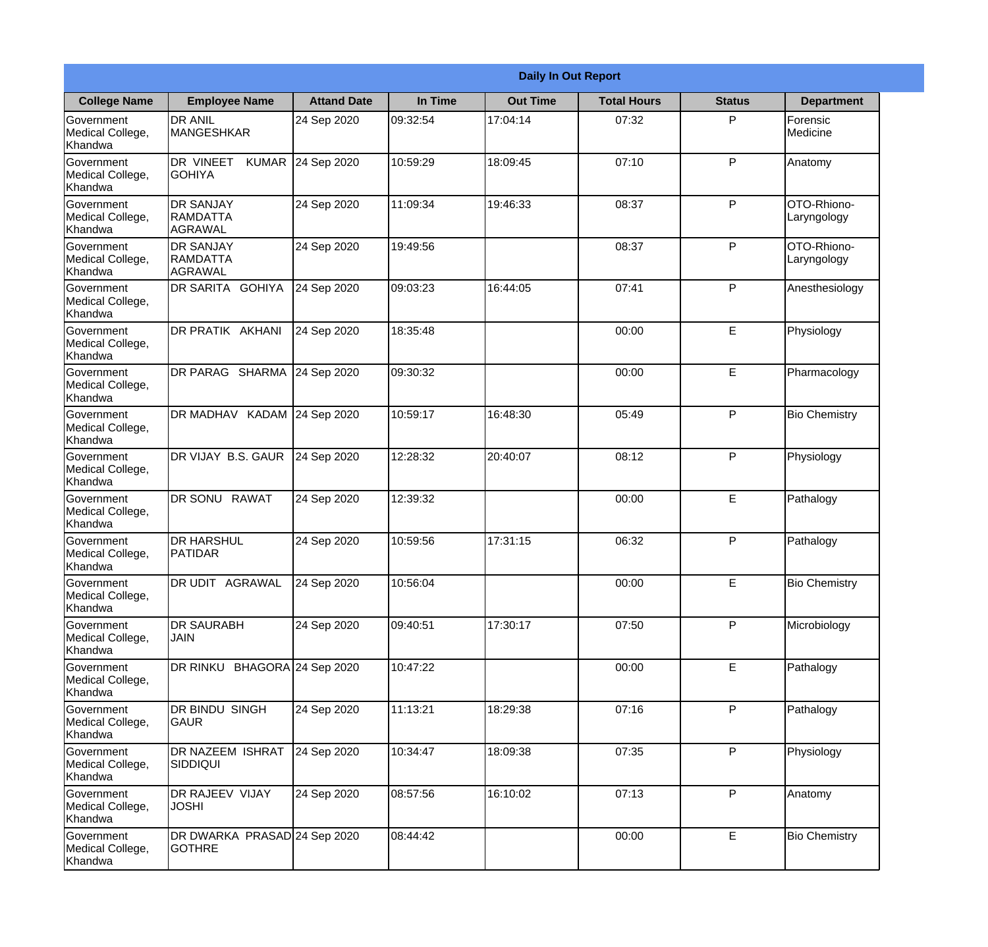|                                                  |                                                       |                     | <b>Daily In Out Report</b> |                 |                    |               |                            |  |
|--------------------------------------------------|-------------------------------------------------------|---------------------|----------------------------|-----------------|--------------------|---------------|----------------------------|--|
| <b>College Name</b>                              | <b>Employee Name</b>                                  | <b>Attand Date</b>  | In Time                    | <b>Out Time</b> | <b>Total Hours</b> | <b>Status</b> | <b>Department</b>          |  |
| Government<br>Medical College,<br>Khandwa        | <b>DR ANIL</b><br><b>MANGESHKAR</b>                   | 24 Sep 2020         | 09:32:54                   | 17:04:14        | 07:32              | P             | Forensic<br>Medicine       |  |
| Government<br>Medical College,<br>Khandwa        | DR VINEET<br><b>KUMAR</b><br><b>GOHIYA</b>            | 24 Sep 2020         | 10:59:29                   | 18:09:45        | 07:10              | P             | Anatomy                    |  |
| <b>Government</b><br>Medical College,<br>Khandwa | <b>DR SANJAY</b><br><b>RAMDATTA</b><br><b>AGRAWAL</b> | 24 Sep 2020         | 11:09:34                   | 19:46:33        | 08:37              | P             | OTO-Rhiono-<br>Laryngology |  |
| <b>Government</b><br>Medical College,<br>Khandwa | <b>DR SANJAY</b><br>RAMDATTA<br>AGRAWAL               | 24 Sep 2020         | 19:49:56                   |                 | 08:37              | P             | OTO-Rhiono-<br>Laryngology |  |
| Government<br>Medical College,<br>Khandwa        | DR SARITA GOHIYA                                      | 24 Sep 2020         | 09:03:23                   | 16:44:05        | 07:41              | P             | Anesthesiology             |  |
| Government<br>Medical College,<br>Khandwa        | DR PRATIK AKHANI                                      | 24 Sep 2020         | 18:35:48                   |                 | 00:00              | $\mathsf E$   | Physiology                 |  |
| <b>Government</b><br>Medical College,<br>Khandwa | DR PARAG SHARMA                                       | 24 Sep 2020         | 09:30:32                   |                 | 00:00              | E             | Pharmacology               |  |
| <b>Government</b><br>Medical College,<br>Khandwa | DR MADHAV KADAM 24 Sep 2020                           |                     | 10:59:17                   | 16:48:30        | 05:49              | P             | <b>Bio Chemistry</b>       |  |
| Government<br>Medical College,<br>Khandwa        | DR VIJAY B.S. GAUR                                    | 24 Sep 2020         | 12:28:32                   | 20:40:07        | 08:12              | P             | Physiology                 |  |
| Government<br>Medical College,<br>Khandwa        | DR SONU RAWAT                                         | 24 Sep 2020         | 12:39:32                   |                 | 00:00              | $\mathsf E$   | Pathalogy                  |  |
| Government<br>Medical College,<br>Khandwa        | <b>DR HARSHUL</b><br> PATIDAR                         | 24 Sep 2020         | 10:59:56                   | 17:31:15        | 06:32              | P             | Pathalogy                  |  |
| Government<br>Medical College,<br>Khandwa        | DR UDIT AGRAWAL                                       | 24 Sep 2020         | 10:56:04                   |                 | 00:00              | E             | <b>Bio Chemistry</b>       |  |
| Government<br>Medical College,<br>Khandwa        | <b>DR SAURABH</b><br><b>JAIN</b>                      | 24 Sep 2020         | 09:40:51                   | 17:30:17        | 07:50              | P             | Microbiology               |  |
| Government<br>Medical College,<br>Khandwa        | DR RINKU                                              | BHAGORA 24 Sep 2020 | 10:47:22                   |                 | 00:00              | E             | Pathalogy                  |  |
| Government<br>Medical College,<br>Khandwa        | DR BINDU SINGH<br> GAUR                               | 24 Sep 2020         | 11:13:21                   | 18:29:38        | 07:16              | P             | Pathalogy                  |  |
| Government<br>Medical College,<br>Khandwa        | DR NAZEEM ISHRAT<br><b>SIDDIQUI</b>                   | 24 Sep 2020         | 10:34:47                   | 18:09:38        | 07:35              | P             | Physiology                 |  |
| Government<br>Medical College,<br>Khandwa        | DR RAJEEV VIJAY<br><b>JOSHI</b>                       | 24 Sep 2020         | 08:57:56                   | 16:10:02        | 07:13              | P             | Anatomy                    |  |
| Government<br>Medical College,<br>Khandwa        | DR DWARKA PRASAD 24 Sep 2020<br><b>GOTHRE</b>         |                     | 08:44:42                   |                 | 00:00              | $\mathsf E$   | <b>Bio Chemistry</b>       |  |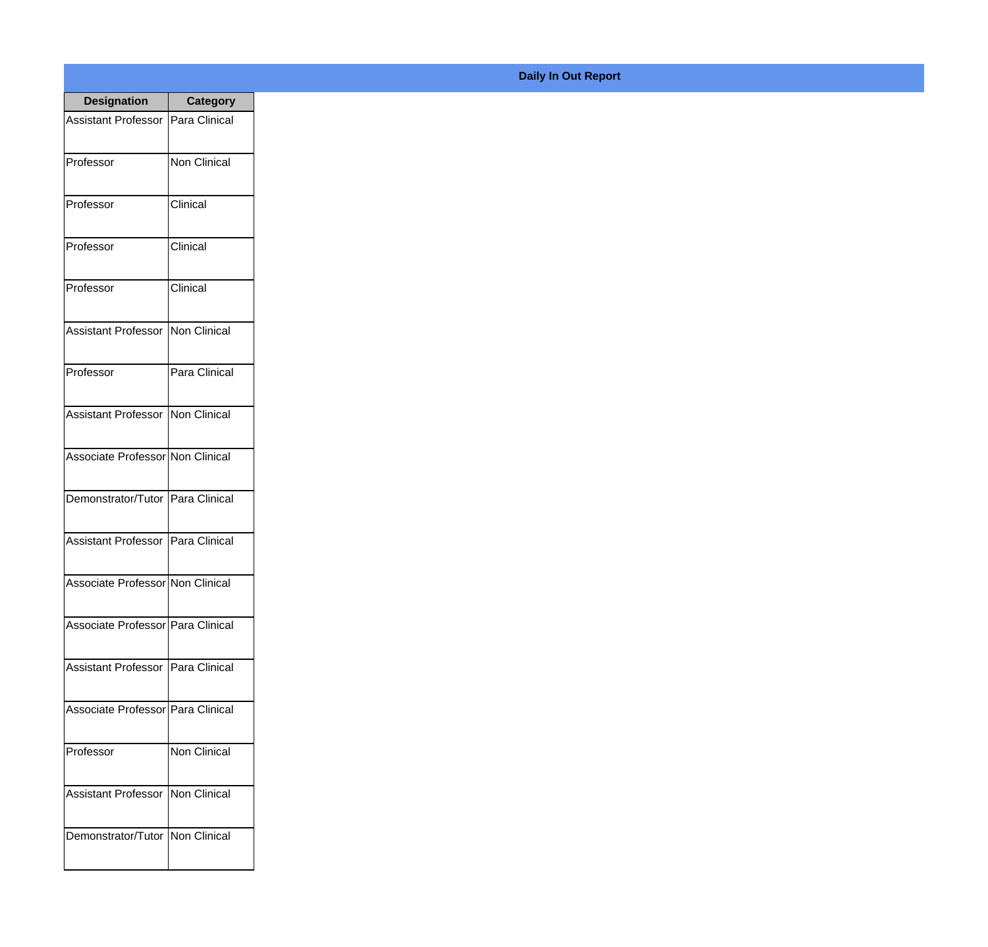| <b>Designation</b>                  | <b>Category</b> |
|-------------------------------------|-----------------|
| <b>Assistant Professor</b>          | Para Clinical   |
| Professor                           | Non Clinical    |
| Professor                           | Clinical        |
| Professor                           | Clinical        |
| Professor                           | Clinical        |
| Assistant Professor   Non Clinical  |                 |
| Professor                           | Para Clinical   |
| Assistant Professor   Non Clinical  |                 |
| Associate Professor Non Clinical    |                 |
| Demonstrator/Tutor   Para Clinical  |                 |
| Assistant Professor                 | Para Clinical   |
| Associate Professor Non Clinical    |                 |
| Associate Professor   Para Clinical |                 |
| Assistant Professor   Para Clinical |                 |
| Associate Professor   Para Clinical |                 |
| Professor                           | Non Clinical    |
| <b>Assistant Professor</b>          | Non Clinical    |
| Demonstrator/Tutor   Non Clinical   |                 |

## **Daily In Out Report**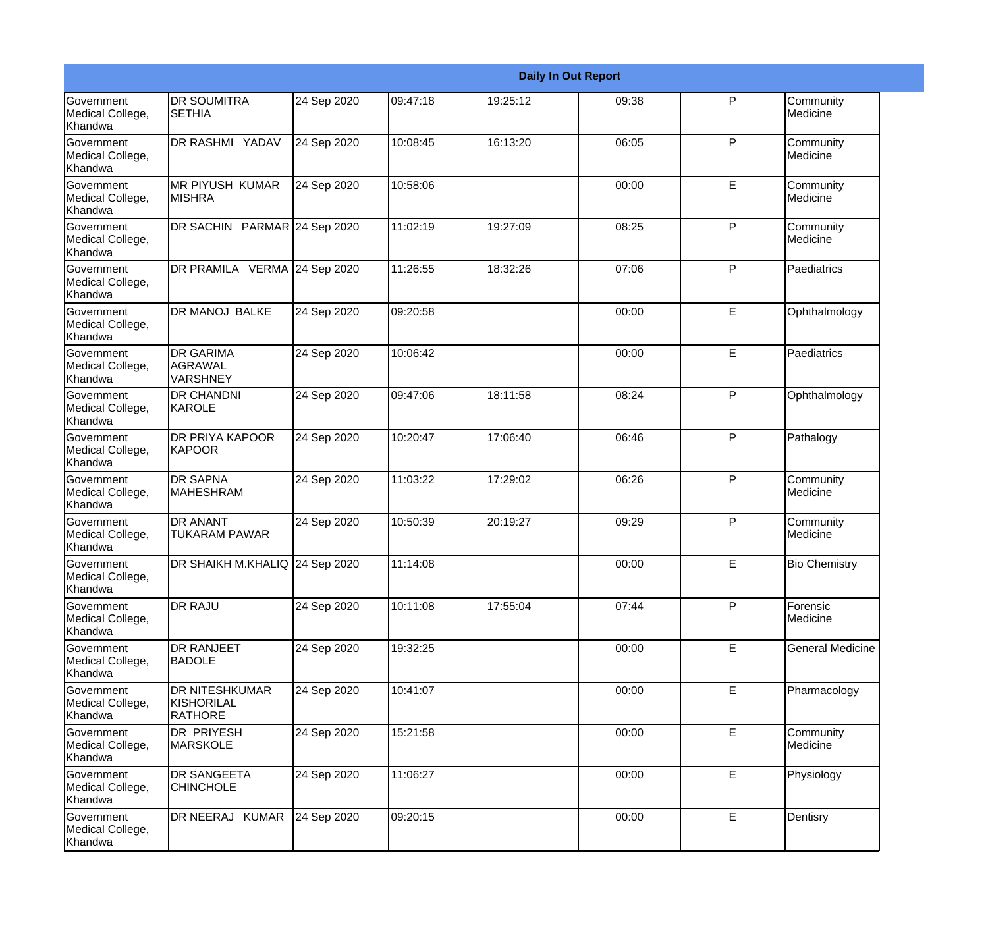|                                           |                                                       | <b>Daily In Out Report</b> |          |          |       |              |                         |
|-------------------------------------------|-------------------------------------------------------|----------------------------|----------|----------|-------|--------------|-------------------------|
| Government<br>Medical College,<br>Khandwa | DR SOUMITRA<br><b>SETHIA</b>                          | 24 Sep 2020                | 09:47:18 | 19:25:12 | 09:38 | P            | Community<br>Medicine   |
| Government<br>Medical College,<br>Khandwa | DR RASHMI YADAV                                       | 24 Sep 2020                | 10:08:45 | 16:13:20 | 06:05 | $\mathsf{P}$ | Community<br>Medicine   |
| Government<br>Medical College,<br>Khandwa | <b>MR PIYUSH KUMAR</b><br><b>MISHRA</b>               | 24 Sep 2020                | 10:58:06 |          | 00:00 | E            | Community<br>Medicine   |
| Government<br>Medical College,<br>Khandwa | DR SACHIN PARMAR 24 Sep 2020                          |                            | 11:02:19 | 19:27:09 | 08:25 | P            | Community<br>Medicine   |
| Government<br>Medical College,<br>Khandwa | DR PRAMILA VERMA 24 Sep 2020                          |                            | 11:26:55 | 18:32:26 | 07:06 | P            | Paediatrics             |
| Government<br>Medical College,<br>Khandwa | DR MANOJ BALKE                                        | 24 Sep 2020                | 09:20:58 |          | 00:00 | E            | Ophthalmology           |
| Government<br>Medical College,<br>Khandwa | <b>DR GARIMA</b><br><b>AGRAWAL</b><br><b>VARSHNEY</b> | 24 Sep 2020                | 10:06:42 |          | 00:00 | E            | Paediatrics             |
| Government<br>Medical College,<br>Khandwa | <b>DR CHANDNI</b><br><b>KAROLE</b>                    | 24 Sep 2020                | 09:47:06 | 18:11:58 | 08:24 | P            | Ophthalmology           |
| Government<br>Medical College,<br>Khandwa | DR PRIYA KAPOOR<br><b>KAPOOR</b>                      | 24 Sep 2020                | 10:20:47 | 17:06:40 | 06:46 | P            | Pathalogy               |
| Government<br>Medical College,<br>Khandwa | <b>DR SAPNA</b><br><b>MAHESHRAM</b>                   | 24 Sep 2020                | 11:03:22 | 17:29:02 | 06:26 | $\mathsf{P}$ | Community<br>Medicine   |
| Government<br>Medical College,<br>Khandwa | DR ANANT<br><b>TUKARAM PAWAR</b>                      | 24 Sep 2020                | 10:50:39 | 20:19:27 | 09:29 | P            | Community<br>Medicine   |
| Government<br>Medical College,<br>Khandwa | DR SHAIKH M.KHALIQ 24 Sep 2020                        |                            | 11:14:08 |          | 00:00 | E            | <b>Bio Chemistry</b>    |
| Government<br>Medical College,<br>Khandwa | DR RAJU                                               | 24 Sep 2020                | 10:11:08 | 17:55:04 | 07:44 | P            | Forensic<br>Medicine    |
| Government<br>Medical College,<br>Khandwa | DR RANJEET<br><b>BADOLE</b>                           | 24 Sep 2020                | 19:32:25 |          | 00:00 | E            | <b>General Medicine</b> |
| Government<br>Medical College,<br>Khandwa | DR NITESHKUMAR<br>KISHORILAL<br><b>RATHORE</b>        | 24 Sep 2020                | 10:41:07 |          | 00:00 | E            | Pharmacology            |
| Government<br>Medical College,<br>Khandwa | <b>DR PRIYESH</b><br><b>MARSKOLE</b>                  | 24 Sep 2020                | 15:21:58 |          | 00:00 | E            | Community<br>Medicine   |
| Government<br>Medical College,<br>Khandwa | DR SANGEETA<br><b>CHINCHOLE</b>                       | 24 Sep 2020                | 11:06:27 |          | 00:00 | E            | Physiology              |
| Government<br>Medical College,<br>Khandwa | DR NEERAJ KUMAR                                       | 24 Sep 2020                | 09:20:15 |          | 00:00 | E            | Dentisry                |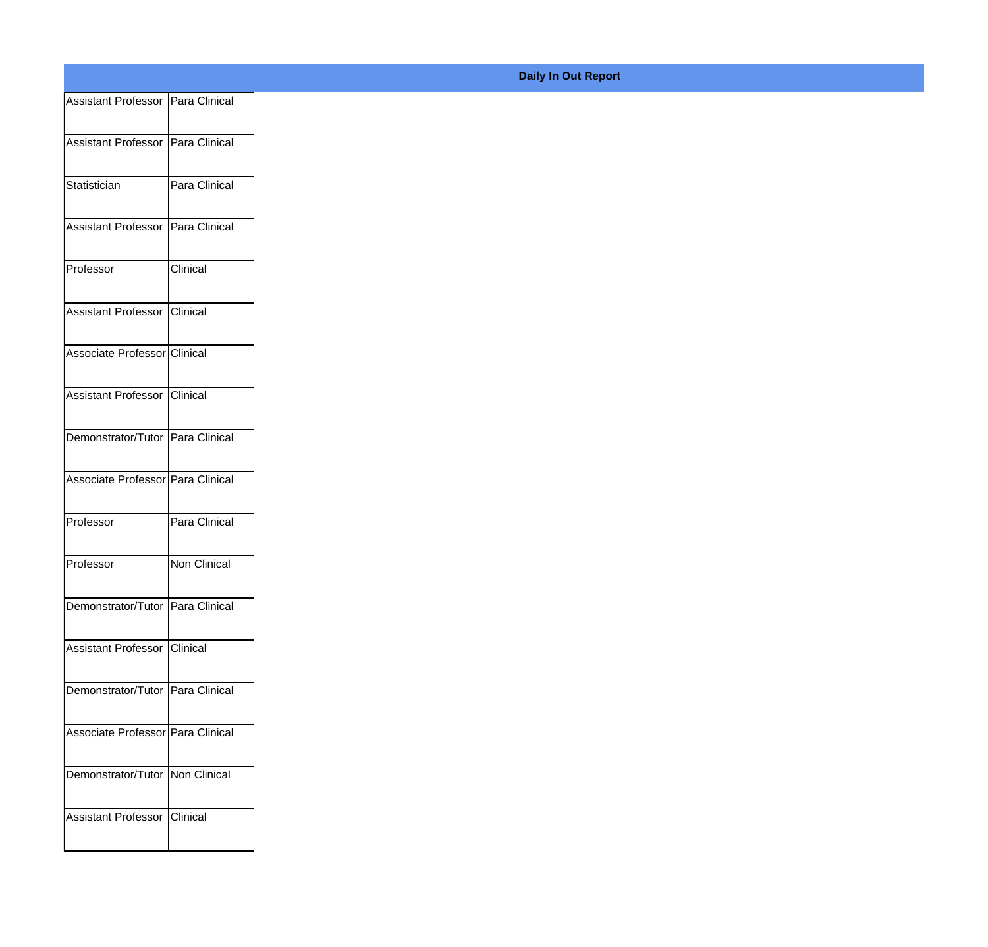| Assistant Professor Para Clinical |               |
|-----------------------------------|---------------|
|                                   |               |
| Assistant Professor Para Clinical |               |
| Statistician                      | Para Clinical |
| Assistant Professor Para Clinical |               |
|                                   |               |
| Professor                         | Clinical      |
| Assistant Professor Clinical      |               |
|                                   |               |
| Associate Professor Clinical      |               |
| Assistant Professor Clinical      |               |
|                                   |               |
| Demonstrator/Tutor Para Clinical  |               |
| Associate Professor Para Clinical |               |
|                                   |               |
| Professor                         | Para Clinical |
| Professor                         | Non Clinical  |
|                                   |               |
| Demonstrator/Tutor Para Clinical  |               |
| Assistant Professor Clinical      |               |
|                                   |               |
| Demonstrator/Tutor Para Clinical  |               |
| Associate Professor Para Clinical |               |
|                                   |               |
| Demonstrator/Tutor Non Clinical   |               |
| Assistant Professor Clinical      |               |
|                                   |               |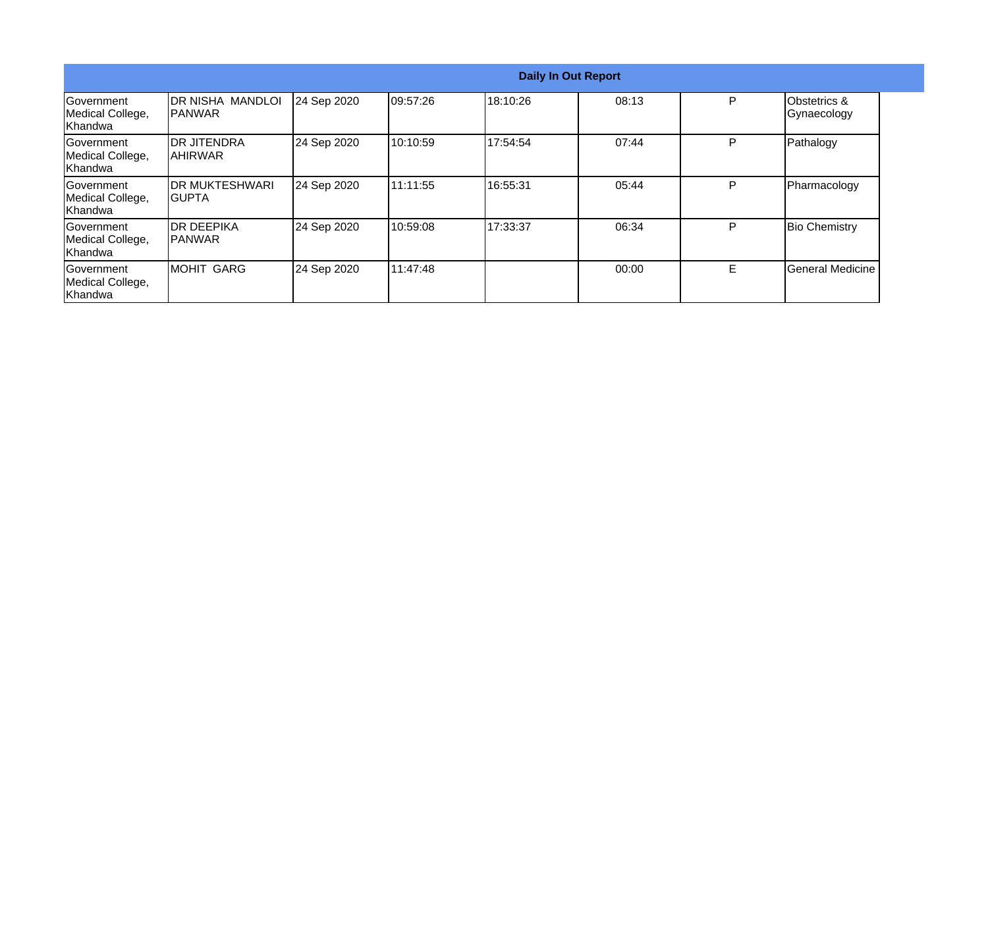|                                                   | <b>Daily In Out Report</b>                 |             |          |          |       |    |                                        |  |
|---------------------------------------------------|--------------------------------------------|-------------|----------|----------|-------|----|----------------------------------------|--|
| Government<br>Medical College,<br><b>Khandwa</b>  | <b>IDR NISHA MANDLOI</b><br><b>IPANWAR</b> | 24 Sep 2020 | 09:57:26 | 18:10:26 | 08:13 | P  | <b>Obstetrics &amp;</b><br>Gynaecology |  |
| Government<br>Medical College,<br>Khandwa         | <b>DR JITENDRA</b><br>IAHIRWAR             | 24 Sep 2020 | 10:10:59 | 17:54:54 | 07:44 | P  | Pathalogy                              |  |
| lGovernment<br>Medical College,<br><b>Khandwa</b> | <b>IDR MUKTESHWARI</b><br>IGUPTA           | 24 Sep 2020 | 11:11:55 | 16:55:31 | 05:44 | P  | Pharmacology                           |  |
| lGovernment<br>Medical College,<br>Khandwa        | IDR DEEPIKA<br><b>IPANWAR</b>              | 24 Sep 2020 | 10:59:08 | 17:33:37 | 06:34 | P  | <b>Bio Chemistry</b>                   |  |
| Government<br>Medical College,<br>Khandwa         | <b>MOHIT GARG</b>                          | 24 Sep 2020 | 11:47:48 |          | 00:00 | E. | General Medicine                       |  |